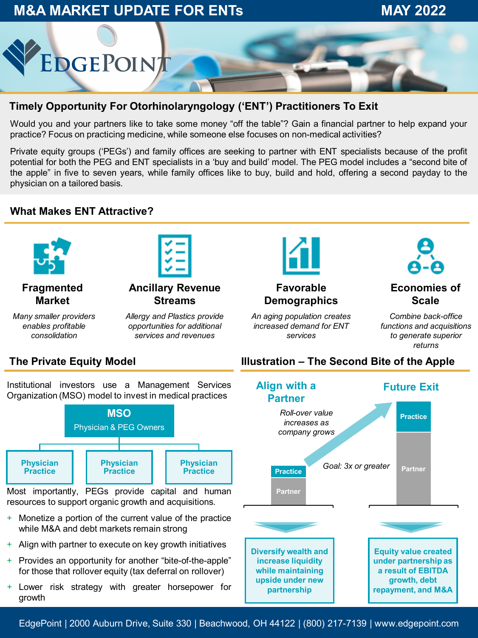## **M&A MARKET UPDATE FOR ENTs MAY 2022**



#### **Timely Opportunity For Otorhinolaryngology ('ENT') Practitioners To Exit**

Would you and your partners like to take some money "off the table"? Gain a financial partner to help expand your practice? Focus on practicing medicine, while someone else focuses on non-medical activities?

Private equity groups ('PEGs') and family offices are seeking to partner with ENT specialists because of the profit potential for both the PEG and ENT specialists in a 'buy and build' model. The PEG model includes a "second bite of the apple" in five to seven years, while family offices like to buy, build and hold, offering a second payday to the physician on a tailored basis.

#### **What Makes ENT Attractive?**



#### **Fragmented Market**

*Many smaller providers enables profitable consolidation*

#### **Streams** *Allergy and Plastics provide opportunities for additional services and revenues*

**Ancillary Revenue** 



#### **Favorable Demographics**

*An aging population creates increased demand for ENT services*



#### **Economies of Scale**

*Combine back-office functions and acquisitions to generate superior returns*

#### **The Private Equity Model**

Institutional investors use a Management Services Organization (MSO) model to invest in medical practices



Most importantly, PEGs provide capital and human resources to support organic growth and acquisitions.

- + Monetize a portion of the current value of the practice while M&A and debt markets remain strong
- + Align with partner to execute on key growth initiatives
- + Provides an opportunity for another "bite-of-the-apple" for those that rollover equity (tax deferral on rollover)
- + Lower risk strategy with greater horsepower for growth

#### **Illustration – The Second Bite of the Apple**



EdgePoint | 2000 Auburn Drive, Suite 330 | Beachwood, OH 44122 | (800) 217-7139 | www.edgepoint.com